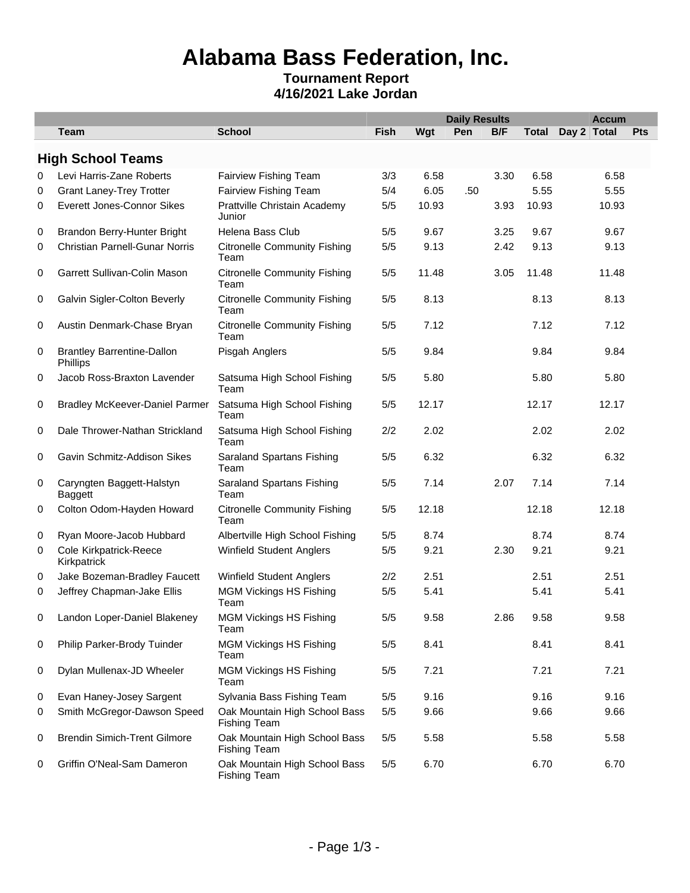# **Alabama Bass Federation, Inc.**

### **Tournament Report 4/16/2021 Lake Jordan**

|   |                                               |                                                      |             |       | <b>Daily Results</b> |      |              | <b>Accum</b> |     |  |  |
|---|-----------------------------------------------|------------------------------------------------------|-------------|-------|----------------------|------|--------------|--------------|-----|--|--|
|   | <b>Team</b>                                   | <b>School</b>                                        | <b>Fish</b> | Wgt   | Pen                  | B/F  | <b>Total</b> | Day 2 Total  | Pts |  |  |
|   | <b>High School Teams</b>                      |                                                      |             |       |                      |      |              |              |     |  |  |
| 0 | Levi Harris-Zane Roberts                      | Fairview Fishing Team                                | 3/3         | 6.58  |                      | 3.30 | 6.58         | 6.58         |     |  |  |
| 0 | <b>Grant Laney-Trey Trotter</b>               | Fairview Fishing Team                                | 5/4         | 6.05  | .50                  |      | 5.55         | 5.55         |     |  |  |
| 0 | <b>Everett Jones-Connor Sikes</b>             | Prattville Christain Academy<br>Junior               | 5/5         | 10.93 |                      | 3.93 | 10.93        | 10.93        |     |  |  |
| 0 | Brandon Berry-Hunter Bright                   | Helena Bass Club                                     | 5/5         | 9.67  |                      | 3.25 | 9.67         | 9.67         |     |  |  |
| 0 | <b>Christian Parnell-Gunar Norris</b>         | <b>Citronelle Community Fishing</b><br>Team          | 5/5         | 9.13  |                      | 2.42 | 9.13         | 9.13         |     |  |  |
| 0 | Garrett Sullivan-Colin Mason                  | <b>Citronelle Community Fishing</b><br>Team          | 5/5         | 11.48 |                      | 3.05 | 11.48        | 11.48        |     |  |  |
| 0 | Galvin Sigler-Colton Beverly                  | <b>Citronelle Community Fishing</b><br>Team          | 5/5         | 8.13  |                      |      | 8.13         | 8.13         |     |  |  |
| 0 | Austin Denmark-Chase Bryan                    | <b>Citronelle Community Fishing</b><br>Team          | 5/5         | 7.12  |                      |      | 7.12         | 7.12         |     |  |  |
| 0 | <b>Brantley Barrentine-Dallon</b><br>Phillips | Pisgah Anglers                                       | 5/5         | 9.84  |                      |      | 9.84         | 9.84         |     |  |  |
| 0 | Jacob Ross-Braxton Lavender                   | Satsuma High School Fishing<br>Team                  | 5/5         | 5.80  |                      |      | 5.80         | 5.80         |     |  |  |
| 0 | <b>Bradley McKeever-Daniel Parmer</b>         | Satsuma High School Fishing<br>Team                  | 5/5         | 12.17 |                      |      | 12.17        | 12.17        |     |  |  |
| 0 | Dale Thrower-Nathan Strickland                | Satsuma High School Fishing<br>Team                  | 2/2         | 2.02  |                      |      | 2.02         | 2.02         |     |  |  |
| 0 | Gavin Schmitz-Addison Sikes                   | Saraland Spartans Fishing<br>Team                    | 5/5         | 6.32  |                      |      | 6.32         | 6.32         |     |  |  |
| 0 | Caryngten Baggett-Halstyn<br>Baggett          | Saraland Spartans Fishing<br>Team                    | 5/5         | 7.14  |                      | 2.07 | 7.14         | 7.14         |     |  |  |
| 0 | Colton Odom-Hayden Howard                     | <b>Citronelle Community Fishing</b><br>Team          | 5/5         | 12.18 |                      |      | 12.18        | 12.18        |     |  |  |
| 0 | Ryan Moore-Jacob Hubbard                      | Albertville High School Fishing                      | 5/5         | 8.74  |                      |      | 8.74         | 8.74         |     |  |  |
| 0 | Cole Kirkpatrick-Reece<br>Kirkpatrick         | Winfield Student Anglers                             | 5/5         | 9.21  |                      | 2.30 | 9.21         | 9.21         |     |  |  |
| 0 | Jake Bozeman-Bradley Faucett                  | <b>Winfield Student Anglers</b>                      | 2/2         | 2.51  |                      |      | 2.51         | 2.51         |     |  |  |
| 0 | Jeffrey Chapman-Jake Ellis                    | <b>MGM Vickings HS Fishing</b><br>Team               | 5/5         | 5.41  |                      |      | 5.41         | 5.41         |     |  |  |
| 0 | Landon Loper-Daniel Blakeney                  | <b>MGM Vickings HS Fishing</b><br>Team               | $5/5$       | 9.58  |                      | 2.86 | 9.58         | 9.58         |     |  |  |
| 0 | Philip Parker-Brody Tuinder                   | <b>MGM Vickings HS Fishing</b><br>Team               | 5/5         | 8.41  |                      |      | 8.41         | 8.41         |     |  |  |
| 0 | Dylan Mullenax-JD Wheeler                     | <b>MGM Vickings HS Fishing</b><br>Team               | 5/5         | 7.21  |                      |      | 7.21         | 7.21         |     |  |  |
| 0 | Evan Haney-Josey Sargent                      | Sylvania Bass Fishing Team                           | 5/5         | 9.16  |                      |      | 9.16         | 9.16         |     |  |  |
| 0 | Smith McGregor-Dawson Speed                   | Oak Mountain High School Bass<br><b>Fishing Team</b> | 5/5         | 9.66  |                      |      | 9.66         | 9.66         |     |  |  |
| 0 | <b>Brendin Simich-Trent Gilmore</b>           | Oak Mountain High School Bass<br><b>Fishing Team</b> | 5/5         | 5.58  |                      |      | 5.58         | 5.58         |     |  |  |
| 0 | Griffin O'Neal-Sam Dameron                    | Oak Mountain High School Bass<br><b>Fishing Team</b> | 5/5         | 6.70  |                      |      | 6.70         | 6.70         |     |  |  |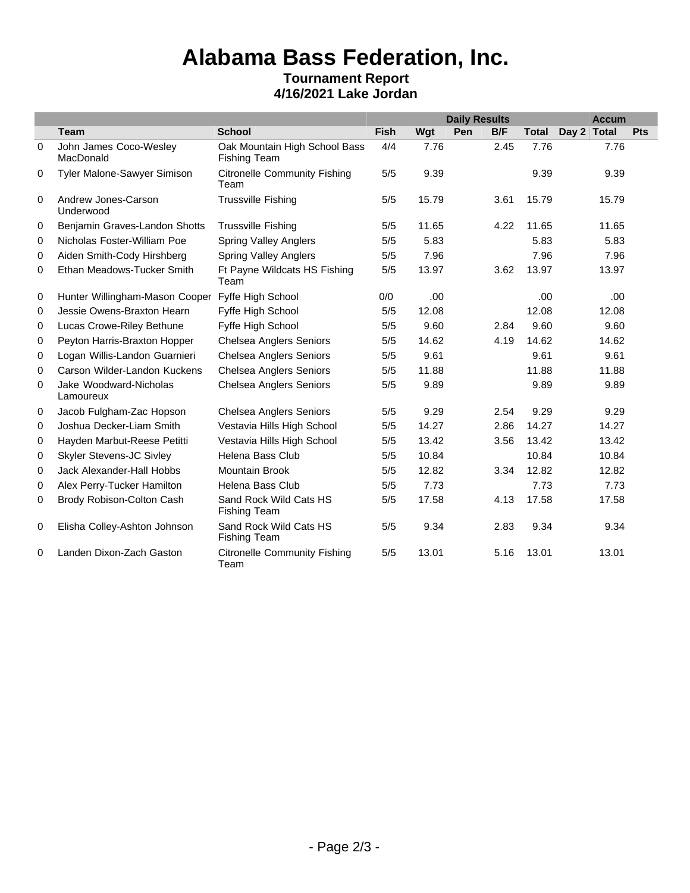## **Alabama Bass Federation, Inc. Tournament Report**

## **4/16/2021 Lake Jordan**

|             |                                     |                                                      |      | <b>Daily Results</b> |     |      |              |             | <b>Accum</b> |     |  |  |
|-------------|-------------------------------------|------------------------------------------------------|------|----------------------|-----|------|--------------|-------------|--------------|-----|--|--|
|             | <b>Team</b>                         | <b>School</b>                                        | Fish | Wgt                  | Pen | B/F  | <b>Total</b> | Day 2 Total |              | Pts |  |  |
| $\mathbf 0$ | John James Coco-Wesley<br>MacDonald | Oak Mountain High School Bass<br><b>Fishing Team</b> | 4/4  | 7.76                 |     | 2.45 | 7.76         |             | 7.76         |     |  |  |
| 0           | Tyler Malone-Sawyer Simison         | <b>Citronelle Community Fishing</b><br>Team          | 5/5  | 9.39                 |     |      | 9.39         |             | 9.39         |     |  |  |
| 0           | Andrew Jones-Carson<br>Underwood    | <b>Trussville Fishing</b>                            | 5/5  | 15.79                |     | 3.61 | 15.79        |             | 15.79        |     |  |  |
| 0           | Benjamin Graves-Landon Shotts       | <b>Trussville Fishing</b>                            | 5/5  | 11.65                |     | 4.22 | 11.65        |             | 11.65        |     |  |  |
| 0           | Nicholas Foster-William Poe         | <b>Spring Valley Anglers</b>                         | 5/5  | 5.83                 |     |      | 5.83         |             | 5.83         |     |  |  |
| 0           | Aiden Smith-Cody Hirshberg          | <b>Spring Valley Anglers</b>                         | 5/5  | 7.96                 |     |      | 7.96         |             | 7.96         |     |  |  |
| 0           | Ethan Meadows-Tucker Smith          | Ft Payne Wildcats HS Fishing<br>Team                 | 5/5  | 13.97                |     | 3.62 | 13.97        |             | 13.97        |     |  |  |
| 0           | Hunter Willingham-Mason Cooper      | Fyffe High School                                    | 0/0  | .00                  |     |      | .00          |             | .00          |     |  |  |
| 0           | Jessie Owens-Braxton Hearn          | Fyffe High School                                    | 5/5  | 12.08                |     |      | 12.08        |             | 12.08        |     |  |  |
| 0           | Lucas Crowe-Riley Bethune           | Fyffe High School                                    | 5/5  | 9.60                 |     | 2.84 | 9.60         |             | 9.60         |     |  |  |
| 0           | Peyton Harris-Braxton Hopper        | <b>Chelsea Anglers Seniors</b>                       | 5/5  | 14.62                |     | 4.19 | 14.62        |             | 14.62        |     |  |  |
| 0           | Logan Willis-Landon Guarnieri       | <b>Chelsea Anglers Seniors</b>                       | 5/5  | 9.61                 |     |      | 9.61         |             | 9.61         |     |  |  |
| 0           | Carson Wilder-Landon Kuckens        | <b>Chelsea Anglers Seniors</b>                       | 5/5  | 11.88                |     |      | 11.88        |             | 11.88        |     |  |  |
| 0           | Jake Woodward-Nicholas<br>Lamoureux | <b>Chelsea Anglers Seniors</b>                       | 5/5  | 9.89                 |     |      | 9.89         |             | 9.89         |     |  |  |
| 0           | Jacob Fulgham-Zac Hopson            | <b>Chelsea Anglers Seniors</b>                       | 5/5  | 9.29                 |     | 2.54 | 9.29         |             | 9.29         |     |  |  |
| $\mathbf 0$ | Joshua Decker-Liam Smith            | Vestavia Hills High School                           | 5/5  | 14.27                |     | 2.86 | 14.27        |             | 14.27        |     |  |  |
| 0           | Hayden Marbut-Reese Petitti         | Vestavia Hills High School                           | 5/5  | 13.42                |     | 3.56 | 13.42        |             | 13.42        |     |  |  |
| 0           | <b>Skyler Stevens-JC Sivley</b>     | Helena Bass Club                                     | 5/5  | 10.84                |     |      | 10.84        |             | 10.84        |     |  |  |
| 0           | Jack Alexander-Hall Hobbs           | <b>Mountain Brook</b>                                | 5/5  | 12.82                |     | 3.34 | 12.82        |             | 12.82        |     |  |  |
| 0           | Alex Perry-Tucker Hamilton          | Helena Bass Club                                     | 5/5  | 7.73                 |     |      | 7.73         |             | 7.73         |     |  |  |
| 0           | Brody Robison-Colton Cash           | Sand Rock Wild Cats HS<br><b>Fishing Team</b>        | 5/5  | 17.58                |     | 4.13 | 17.58        |             | 17.58        |     |  |  |
| 0           | Elisha Colley-Ashton Johnson        | Sand Rock Wild Cats HS<br><b>Fishing Team</b>        | 5/5  | 9.34                 |     | 2.83 | 9.34         |             | 9.34         |     |  |  |
| 0           | Landen Dixon-Zach Gaston            | <b>Citronelle Community Fishing</b><br>Team          | 5/5  | 13.01                |     | 5.16 | 13.01        |             | 13.01        |     |  |  |